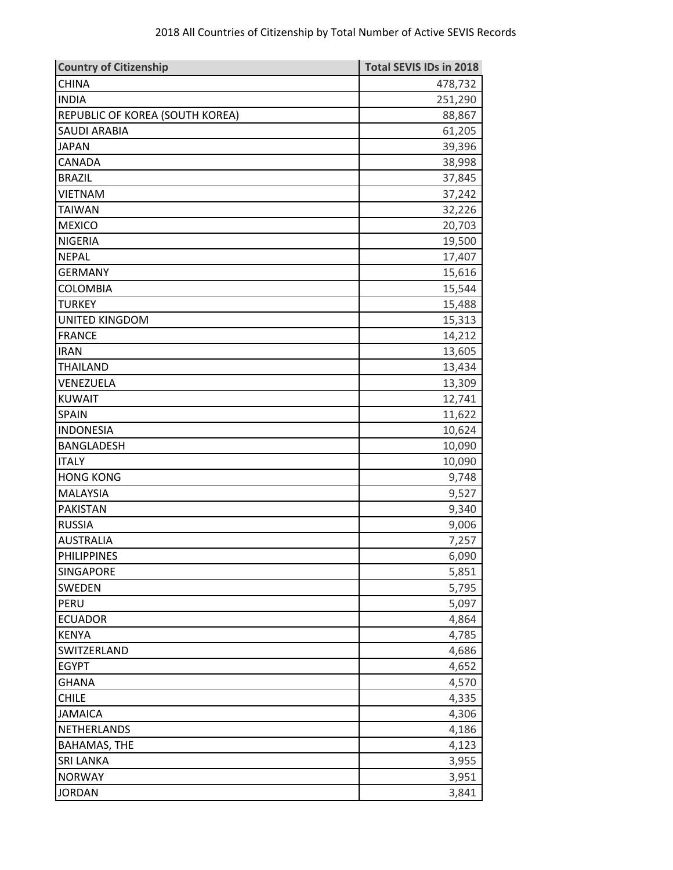| <b>Country of Citizenship</b>   | <b>Total SEVIS IDs in 2018</b> |
|---------------------------------|--------------------------------|
| <b>CHINA</b>                    | 478,732                        |
| <b>INDIA</b>                    | 251,290                        |
| REPUBLIC OF KOREA (SOUTH KOREA) | 88,867                         |
| <b>SAUDI ARABIA</b>             | 61,205                         |
| <b>JAPAN</b>                    | 39,396                         |
| CANADA                          | 38,998                         |
| <b>BRAZIL</b>                   | 37,845                         |
| <b>VIETNAM</b>                  | 37,242                         |
| <b>TAIWAN</b>                   | 32,226                         |
| <b>MEXICO</b>                   | 20,703                         |
| <b>NIGERIA</b>                  | 19,500                         |
| <b>NEPAL</b>                    | 17,407                         |
| <b>GERMANY</b>                  | 15,616                         |
| <b>COLOMBIA</b>                 | 15,544                         |
| <b>TURKEY</b>                   | 15,488                         |
| UNITED KINGDOM                  | 15,313                         |
| <b>FRANCE</b>                   | 14,212                         |
| <b>IRAN</b>                     | 13,605                         |
| <b>THAILAND</b>                 | 13,434                         |
| VENEZUELA                       | 13,309                         |
| <b>KUWAIT</b>                   | 12,741                         |
| <b>SPAIN</b>                    | 11,622                         |
| <b>INDONESIA</b>                | 10,624                         |
| <b>BANGLADESH</b>               | 10,090                         |
| <b>ITALY</b>                    | 10,090                         |
| <b>HONG KONG</b>                | 9,748                          |
| <b>MALAYSIA</b>                 | 9,527                          |
| PAKISTAN                        | 9,340                          |
| <b>RUSSIA</b>                   | 9,006                          |
| <b>AUSTRALIA</b>                | 7,257                          |
| <b>PHILIPPINES</b>              | 6,090                          |
| SINGAPORE                       | 5,851                          |
| SWEDEN                          | 5,795                          |
| PERU                            | 5,097                          |
| <b>ECUADOR</b>                  | 4,864                          |
| <b>KENYA</b>                    | 4,785                          |
| SWITZERLAND                     | 4,686                          |
| <b>EGYPT</b>                    | 4,652                          |
| <b>GHANA</b>                    | 4,570                          |
| <b>CHILE</b>                    | 4,335                          |
| <b>JAMAICA</b>                  | 4,306                          |
| NETHERLANDS                     | 4,186                          |
| <b>BAHAMAS, THE</b>             | 4,123                          |
| <b>SRI LANKA</b>                | 3,955                          |
| <b>NORWAY</b>                   | 3,951                          |
| <b>JORDAN</b>                   | 3,841                          |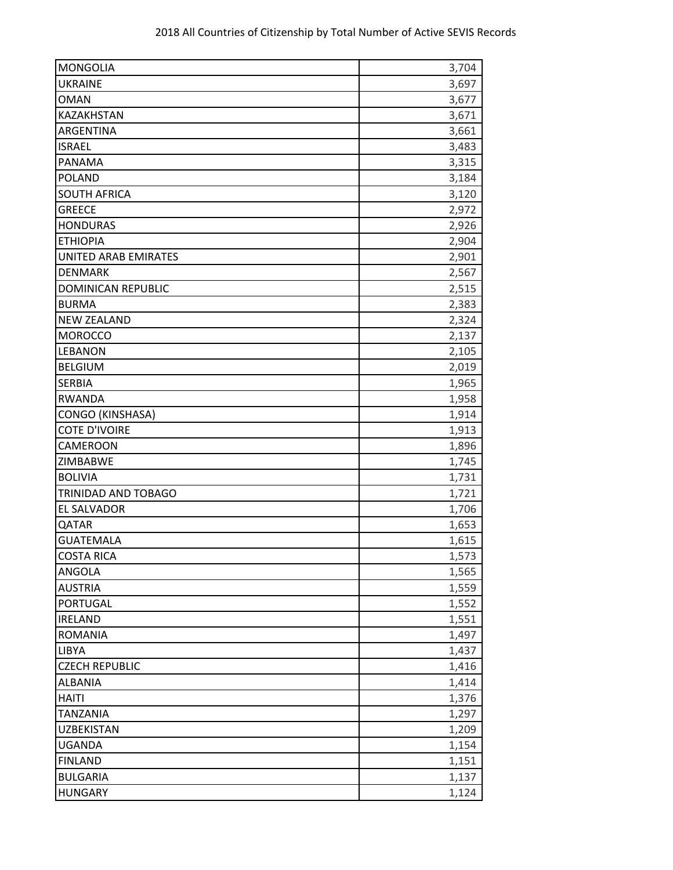| <b>MONGOLIA</b>             | 3,704 |
|-----------------------------|-------|
| <b>UKRAINE</b>              | 3,697 |
| <b>OMAN</b>                 | 3,677 |
| KAZAKHSTAN                  | 3,671 |
| ARGENTINA                   | 3,661 |
| <b>ISRAEL</b>               | 3,483 |
| PANAMA                      | 3,315 |
| <b>POLAND</b>               | 3,184 |
| <b>SOUTH AFRICA</b>         | 3,120 |
| <b>GREECE</b>               | 2,972 |
| <b>HONDURAS</b>             | 2,926 |
| <b>ETHIOPIA</b>             | 2,904 |
| <b>UNITED ARAB EMIRATES</b> | 2,901 |
| <b>DENMARK</b>              | 2,567 |
| DOMINICAN REPUBLIC          | 2,515 |
| <b>BURMA</b>                | 2,383 |
| <b>NEW ZEALAND</b>          | 2,324 |
| <b>MOROCCO</b>              | 2,137 |
| LEBANON                     | 2,105 |
| <b>BELGIUM</b>              | 2,019 |
| <b>SERBIA</b>               | 1,965 |
| <b>RWANDA</b>               | 1,958 |
| CONGO (KINSHASA)            | 1,914 |
| <b>COTE D'IVOIRE</b>        | 1,913 |
| CAMEROON                    | 1,896 |
| ZIMBABWE                    | 1,745 |
| <b>BOLIVIA</b>              | 1,731 |
| <b>TRINIDAD AND TOBAGO</b>  | 1,721 |
| EL SALVADOR                 | 1,706 |
| QATAR                       | 1,653 |
| <b>GUATEMALA</b>            | 1,615 |
| COSTA RICA                  | 1,573 |
| ANGOLA                      | 1,565 |
| <b>AUSTRIA</b>              | 1,559 |
| <b>PORTUGAL</b>             | 1,552 |
| <b>IRELAND</b>              | 1,551 |
| <b>ROMANIA</b>              | 1,497 |
| LIBYA                       | 1,437 |
| <b>CZECH REPUBLIC</b>       | 1,416 |
| <b>ALBANIA</b>              | 1,414 |
| <b>HAITI</b>                | 1,376 |
| <b>TANZANIA</b>             | 1,297 |
| <b>UZBEKISTAN</b>           | 1,209 |
| <b>UGANDA</b>               | 1,154 |
| <b>FINLAND</b>              | 1,151 |
| <b>BULGARIA</b>             | 1,137 |
| <b>HUNGARY</b>              | 1,124 |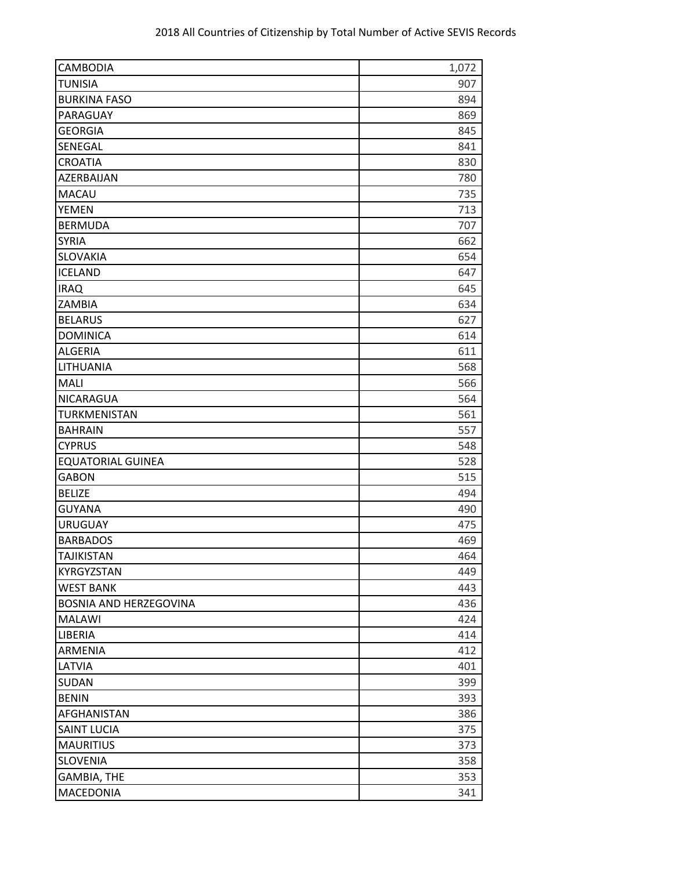| CAMBODIA                 | 1,072 |
|--------------------------|-------|
| <b>TUNISIA</b>           | 907   |
| <b>BURKINA FASO</b>      | 894   |
| PARAGUAY                 | 869   |
| <b>GEORGIA</b>           | 845   |
| SENEGAL                  | 841   |
| <b>CROATIA</b>           | 830   |
| AZERBAIJAN               | 780   |
| <b>MACAU</b>             | 735   |
| <b>YEMEN</b>             | 713   |
| <b>BERMUDA</b>           | 707   |
| <b>SYRIA</b>             | 662   |
| <b>SLOVAKIA</b>          | 654   |
| <b>ICELAND</b>           | 647   |
| <b>IRAQ</b>              | 645   |
| ZAMBIA                   | 634   |
| <b>BELARUS</b>           | 627   |
| <b>DOMINICA</b>          | 614   |
| <b>ALGERIA</b>           | 611   |
| LITHUANIA                | 568   |
| <b>MALI</b>              | 566   |
| NICARAGUA                | 564   |
| TURKMENISTAN             | 561   |
| <b>BAHRAIN</b>           | 557   |
| <b>CYPRUS</b>            | 548   |
| <b>EQUATORIAL GUINEA</b> | 528   |
| <b>GABON</b>             | 515   |
| <b>BELIZE</b>            | 494   |
| <b>GUYANA</b>            | 490   |
| <b>URUGUAY</b>           | 475   |
| <b>BARBADOS</b>          | 469   |
| TAJIKISTAN               | 464   |
| KYRGYZSTAN               | 449   |
| <b>WEST BANK</b>         | 443   |
| BOSNIA AND HERZEGOVINA   | 436   |
| <b>MALAWI</b>            | 424   |
| LIBERIA                  | 414   |
| <b>ARMENIA</b>           | 412   |
| LATVIA                   | 401   |
| <b>SUDAN</b>             | 399   |
| <b>BENIN</b>             | 393   |
| AFGHANISTAN              | 386   |
| <b>SAINT LUCIA</b>       | 375   |
| <b>MAURITIUS</b>         | 373   |
| <b>SLOVENIA</b>          | 358   |
| <b>GAMBIA, THE</b>       | 353   |
| MACEDONIA                | 341   |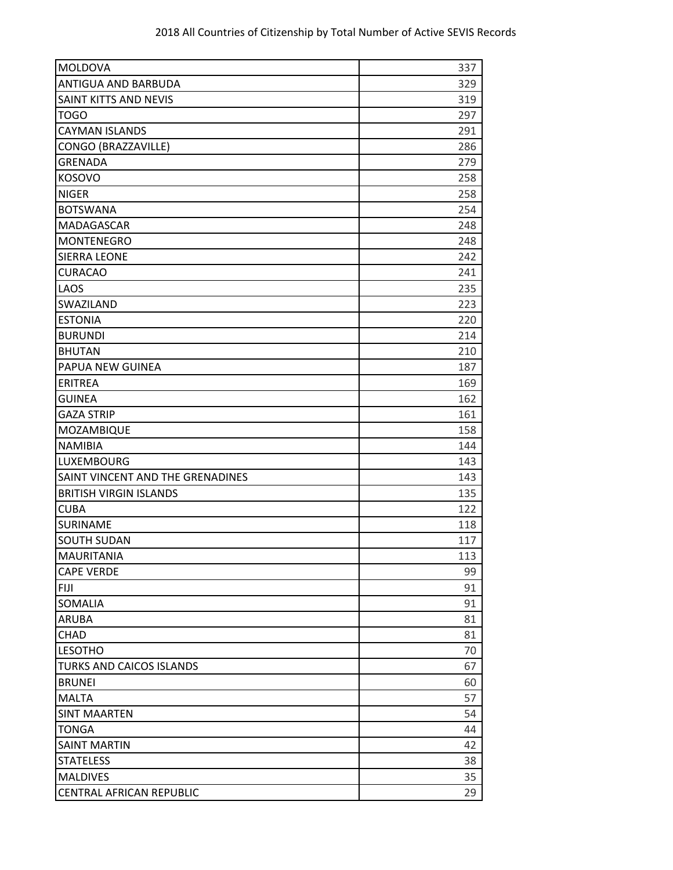| MOLDOVA                          | 337 |
|----------------------------------|-----|
| ANTIGUA AND BARBUDA              | 329 |
| SAINT KITTS AND NEVIS            | 319 |
| <b>TOGO</b>                      | 297 |
| <b>CAYMAN ISLANDS</b>            | 291 |
| CONGO (BRAZZAVILLE)              | 286 |
| <b>GRENADA</b>                   | 279 |
| <b>KOSOVO</b>                    | 258 |
| <b>NIGER</b>                     | 258 |
| <b>BOTSWANA</b>                  | 254 |
| MADAGASCAR                       | 248 |
| <b>MONTENEGRO</b>                | 248 |
| <b>SIERRA LEONE</b>              | 242 |
| <b>CURACAO</b>                   | 241 |
| LAOS                             | 235 |
| SWAZILAND                        | 223 |
| <b>ESTONIA</b>                   | 220 |
| <b>BURUNDI</b>                   | 214 |
| <b>BHUTAN</b>                    | 210 |
| PAPUA NEW GUINEA                 | 187 |
| <b>ERITREA</b>                   | 169 |
| <b>GUINEA</b>                    | 162 |
| <b>GAZA STRIP</b>                | 161 |
| MOZAMBIQUE                       | 158 |
| <b>NAMIBIA</b>                   | 144 |
| LUXEMBOURG                       | 143 |
| SAINT VINCENT AND THE GRENADINES | 143 |
| <b>BRITISH VIRGIN ISLANDS</b>    | 135 |
| <b>CUBA</b>                      | 122 |
| SURINAME                         | 118 |
| <b>SOUTH SUDAN</b>               | 117 |
| <b>MAURITANIA</b>                | 113 |
| <b>CAPE VERDE</b>                | 99  |
| <b>FIJI</b>                      | 91  |
| SOMALIA                          | 91  |
| <b>ARUBA</b>                     | 81  |
| CHAD                             | 81  |
| <b>LESOTHO</b>                   | 70  |
| TURKS AND CAICOS ISLANDS         | 67  |
| <b>BRUNEI</b>                    | 60  |
| <b>MALTA</b>                     | 57  |
| <b>SINT MAARTEN</b>              | 54  |
| <b>TONGA</b>                     | 44  |
| <b>SAINT MARTIN</b>              | 42  |
| <b>STATELESS</b>                 | 38  |
| <b>MALDIVES</b>                  | 35  |
| CENTRAL AFRICAN REPUBLIC         | 29  |